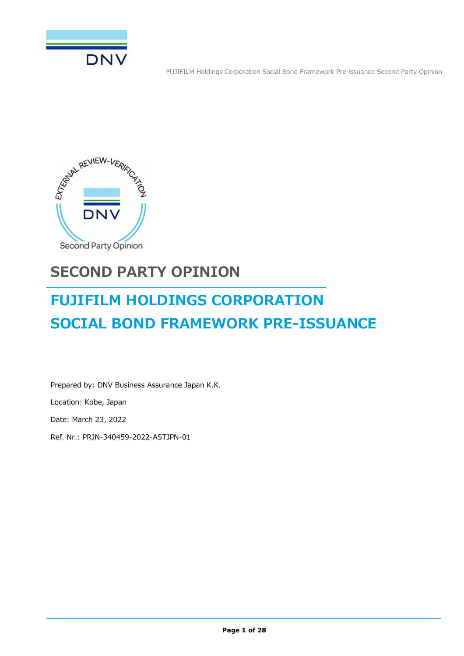



# **SECOND PARTY OPINION**

# **FUJIFILM HOLDINGS CORPORATION SOCIAL BOND FRAMEWORK PRE-ISSUANCE**

Prepared by: DNV Business Assurance Japan K.K. Location: Kobe, Japan Date: March 23, 2022

Ref. Nr.: PRJN-340459-2022-ASTJPN-01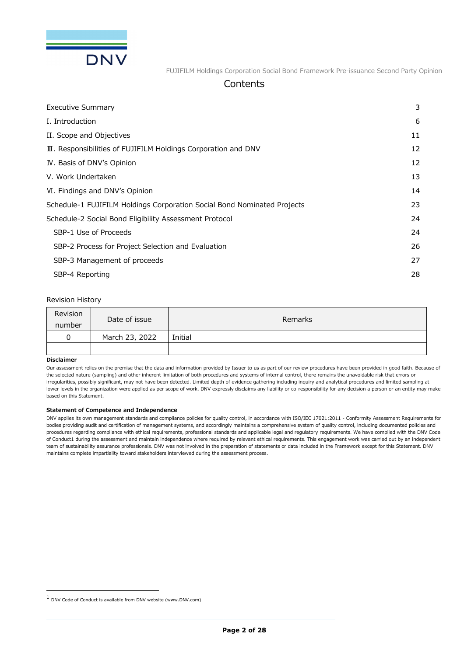

#### **Contents**

| Executive Summary                                                       | 3  |
|-------------------------------------------------------------------------|----|
| I. Introduction                                                         | 6  |
| II. Scope and Objectives                                                | 11 |
| III. Responsibilities of FUJIFILM Holdings Corporation and DNV          | 12 |
| IV. Basis of DNV's Opinion                                              | 12 |
| V. Work Undertaken                                                      | 13 |
| VI. Findings and DNV's Opinion                                          | 14 |
| Schedule-1 FUJIFILM Holdings Corporation Social Bond Nominated Projects | 23 |
| Schedule-2 Social Bond Eligibility Assessment Protocol                  | 24 |
| SBP-1 Use of Proceeds                                                   | 24 |
| SBP-2 Process for Project Selection and Evaluation                      | 26 |
| SBP-3 Management of proceeds                                            | 27 |
| SBP-4 Reporting                                                         | 28 |
|                                                                         |    |

#### Revision History

| Revision<br>number | Date of issue  | Remarks |
|--------------------|----------------|---------|
|                    | March 23, 2022 | Initial |
|                    |                |         |

#### **Disclaimer**

Our assessment relies on the premise that the data and information provided by Issuer to us as part of our review procedures have been provided in good faith. Because of the selected nature (sampling) and other inherent limitation of both procedures and systems of internal control, there remains the unavoidable risk that errors or irregularities, possibly significant, may not have been detected. Limited depth of evidence gathering including inquiry and analytical procedures and limited sampling at lower levels in the organization were applied as per scope of work. DNV expressly disclaims any liability or co-responsibility for any decision a person or an entity may make based on this Statement.

#### **Statement of Competence and Independence**

DNV applies its own management standards and compliance policies for quality control, in accordance with ISO/IEC 17021:2011 - Conformity Assessment Requirements for bodies providing audit and certification of management systems, and accordingly maintains a comprehensive system of quality control, including documented policies and procedures regarding compliance with ethical requirements, professional standards and applicable legal and regulatory requirements. We have complied with the DNV Code of Conduct1 during the assessment and maintain independence where required by relevant ethical requirements. This engagement work was carried out by an independent team of sustainability assurance professionals. DNV was not involved in the preparation of statements or data included in the Framework except for this Statement. DNV maintains complete impartiality toward stakeholders interviewed during the assessment process.

<sup>1</sup> DNV Code of Conduct is available from DNV website (www.DNV.com)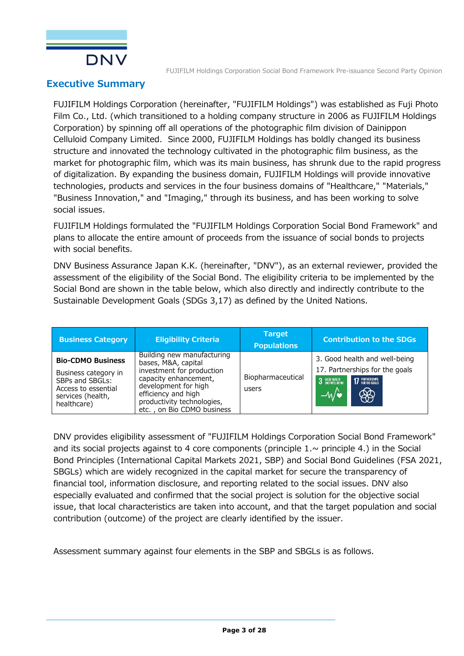

### **Executive Summary**

FUJIFILM Holdings Corporation (hereinafter, "FUJIFILM Holdings") was established as Fuji Photo Film Co., Ltd. (which transitioned to a holding company structure in 2006 as FUJIFILM Holdings Corporation) by spinning off all operations of the photographic film division of Dainippon Celluloid Company Limited. Since 2000, FUJIFILM Holdings has boldly changed its business structure and innovated the technology cultivated in the photographic film business, as the market for photographic film, which was its main business, has shrunk due to the rapid progress of digitalization. By expanding the business domain, FUJIFILM Holdings will provide innovative technologies, products and services in the four business domains of "Healthcare," "Materials," "Business Innovation," and "Imaging," through its business, and has been working to solve social issues.

FUJIFILM Holdings formulated the "FUJIFILM Holdings Corporation Social Bond Framework" and plans to allocate the entire amount of proceeds from the issuance of social bonds to projects with social benefits.

DNV Business Assurance Japan K.K. (hereinafter, "DNV"), as an external reviewer, provided the assessment of the eligibility of the Social Bond. The eligibility criteria to be implemented by the Social Bond are shown in the table below, which also directly and indirectly contribute to the Sustainable Development Goals (SDGs 3,17) as defined by the United Nations.

| <b>Business Category</b>                                                                                                       | <b>Eligibility Criteria</b>                                                                                                                                                                                        | <b>Target</b><br><b>Populations</b> | <b>Contribution to the SDGs</b>                                                                                                                         |
|--------------------------------------------------------------------------------------------------------------------------------|--------------------------------------------------------------------------------------------------------------------------------------------------------------------------------------------------------------------|-------------------------------------|---------------------------------------------------------------------------------------------------------------------------------------------------------|
| <b>Bio-CDMO Business</b><br>Business category in<br>SBPs and SBGLs:<br>Access to essential<br>services (health,<br>healthcare) | Building new manufacturing<br>bases, M&A, capital<br>investment for production<br>capacity enhancement,<br>development for high<br>efficiency and high<br>productivity technologies,<br>etc., on Bio CDMO business | Biopharmaceutical<br>users          | 3. Good health and well-being<br>17. Partnerships for the goals<br><b>17 PARTNERSHIPS</b><br><b>3</b> GOOD HEALTH AND WELL-BEING<br>$-4$<br>$\circledR$ |

DNV provides eligibility assessment of "FUJIFILM Holdings Corporation Social Bond Framework" and its social projects against to 4 core components (principle  $1 \sim$  principle 4.) in the Social Bond Principles (International Capital Markets 2021, SBP) and Social Bond Guidelines (FSA 2021, SBGLs) which are widely recognized in the capital market for secure the transparency of financial tool, information disclosure, and reporting related to the social issues. DNV also especially evaluated and confirmed that the social project is solution for the objective social issue, that local characteristics are taken into account, and that the target population and social contribution (outcome) of the project are clearly identified by the issuer.

Assessment summary against four elements in the SBP and SBGLs is as follows.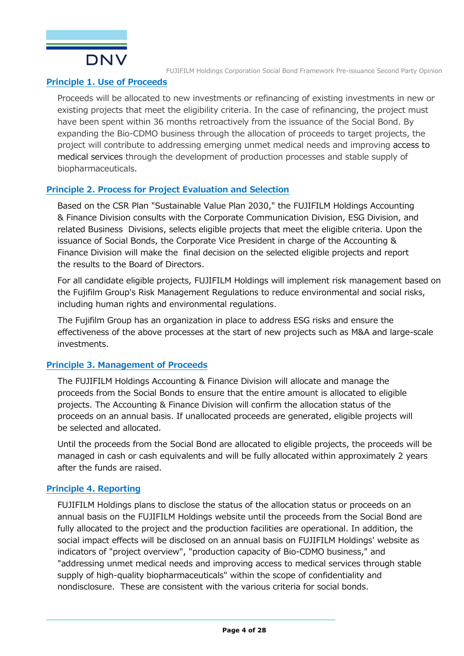

#### **Principle 1. Use of Proceeds**

Proceeds will be allocated to new investments or refinancing of existing investments in new or existing projects that meet the eligibility criteria. In the case of refinancing, the project must have been spent within 36 months retroactively from the issuance of the Social Bond. By expanding the Bio-CDMO business through the allocation of proceeds to target projects, the project will contribute to addressing emerging unmet medical needs and improving access to medical services through the development of production processes and stable supply of biopharmaceuticals.

#### **Principle 2. Process for Project Evaluation and Selection**

Based on the CSR Plan "Sustainable Value Plan 2030," the FUJIFILM Holdings Accounting & Finance Division consults with the Corporate Communication Division, ESG Division, and related Business Divisions, selects eligible projects that meet the eligible criteria. Upon the issuance of Social Bonds, the Corporate Vice President in charge of the Accounting & Finance Division will make the final decision on the selected eligible projects and report the results to the Board of Directors.

For all candidate eligible projects, FUJIFILM Holdings will implement risk management based on the Fujifilm Group's Risk Management Regulations to reduce environmental and social risks, including human rights and environmental regulations.

The Fujifilm Group has an organization in place to address ESG risks and ensure the effectiveness of the above processes at the start of new projects such as M&A and large-scale investments.

#### **Principle 3. Management of Proceeds**

The FUJIFILM Holdings Accounting & Finance Division will allocate and manage the proceeds from the Social Bonds to ensure that the entire amount is allocated to eligible projects. The Accounting & Finance Division will confirm the allocation status of the proceeds on an annual basis. If unallocated proceeds are generated, eligible projects will be selected and allocated.

Until the proceeds from the Social Bond are allocated to eligible projects, the proceeds will be managed in cash or cash equivalents and will be fully allocated within approximately 2 years after the funds are raised.

#### **Principle 4. Reporting**

FUJIFILM Holdings plans to disclose the status of the allocation status or proceeds on an annual basis on the FUJIFILM Holdings website until the proceeds from the Social Bond are fully allocated to the project and the production facilities are operational. In addition, the social impact effects will be disclosed on an annual basis on FUJIFILM Holdings' website as indicators of "project overview", "production capacity of Bio-CDMO business," and "addressing unmet medical needs and improving access to medical services through stable supply of high-quality biopharmaceuticals" within the scope of confidentiality and nondisclosure. These are consistent with the various criteria for social bonds.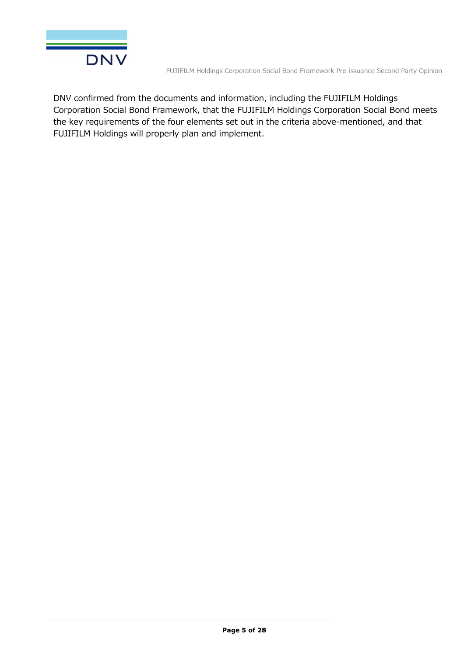

DNV confirmed from the documents and information, including the FUJIFILM Holdings Corporation Social Bond Framework, that the FUJIFILM Holdings Corporation Social Bond meets the key requirements of the four elements set out in the criteria above-mentioned, and that FUJIFILM Holdings will properly plan and implement.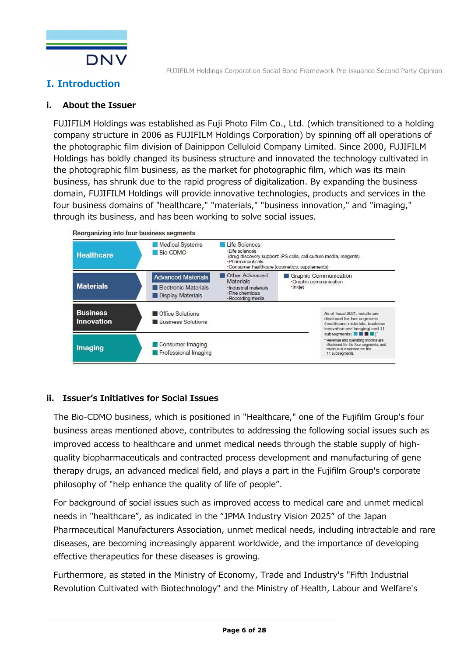

## **I. Introduction**

#### **i. About the Issuer**

FUJIFILM Holdings was established as Fuji Photo Film Co., Ltd. (which transitioned to a holding company structure in 2006 as FUJIFILM Holdings Corporation) by spinning off all operations of the photographic film division of Dainippon Celluloid Company Limited. Since 2000, FUJIFILM Holdings has boldly changed its business structure and innovated the technology cultivated in the photographic film business, as the market for photographic film, which was its main business, has shrunk due to the rapid progress of digitalization. By expanding the business domain, FUJIFILM Holdings will provide innovative technologies, products and services in the four business domains of "healthcare," "materials," "business innovation," and "imaging," through its business, and has been working to solve social issues.



#### **ii. Issuer's Initiatives for Social Issues**

The Bio-CDMO business, which is positioned in "Healthcare," one of the Fujifilm Group's four business areas mentioned above, contributes to addressing the following social issues such as improved access to healthcare and unmet medical needs through the stable supply of highquality biopharmaceuticals and contracted process development and manufacturing of gene therapy drugs, an advanced medical field, and plays a part in the Fujifilm Group's corporate philosophy of "help enhance the quality of life of people".

For background of social issues such as improved access to medical care and unmet medical needs in "healthcare", as indicated in the "JPMA Industry Vision 2025" of the Japan Pharmaceutical Manufacturers Association, unmet medical needs, including intractable and rare diseases, are becoming increasingly apparent worldwide, and the importance of developing effective therapeutics for these diseases is growing.

Furthermore, as stated in the Ministry of Economy, Trade and Industry's "Fifth Industrial Revolution Cultivated with Biotechnology" and the Ministry of Health, Labour and Welfare's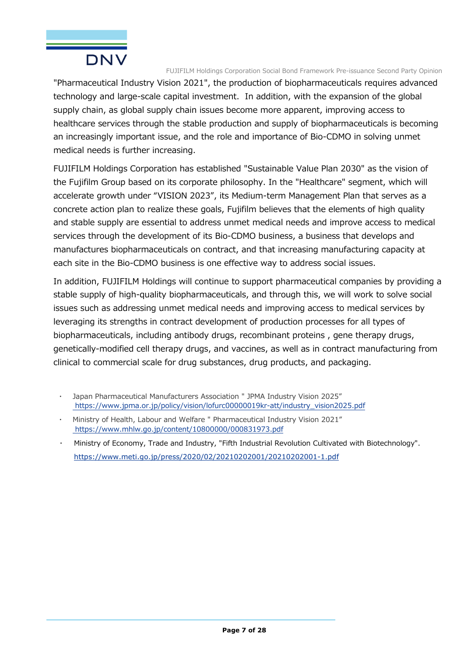

"Pharmaceutical Industry Vision 2021", the production of biopharmaceuticals requires advanced technology and large-scale capital investment. In addition, with the expansion of the global supply chain, as global supply chain issues become more apparent, improving access to healthcare services through the stable production and supply of biopharmaceuticals is becoming an increasingly important issue, and the role and importance of Bio-CDMO in solving unmet medical needs is further increasing.

FUJIFILM Holdings Corporation has established "Sustainable Value Plan 2030" as the vision of the Fujifilm Group based on its corporate philosophy. In the "Healthcare" segment, which will accelerate growth under "VISION 2023", its Medium-term Management Plan that serves as a concrete action plan to realize these goals, Fujifilm believes that the elements of high quality and stable supply are essential to address unmet medical needs and improve access to medical services through the development of its Bio-CDMO business, a business that develops and manufactures biopharmaceuticals on contract, and that increasing manufacturing capacity at each site in the Bio-CDMO business is one effective way to address social issues.

In addition, FUJIFILM Holdings will continue to support pharmaceutical companies by providing a stable supply of high-quality biopharmaceuticals, and through this, we will work to solve social issues such as addressing unmet medical needs and improving access to medical services by leveraging its strengths in contract development of production processes for all types of biopharmaceuticals, including antibody drugs, recombinant proteins , gene therapy drugs, genetically-modified cell therapy drugs, and vaccines, as well as in contract manufacturing from clinical to commercial scale for drug substances, drug products, and packaging.

- Japan Pharmaceutical Manufacturers Association " JPMA Industry Vision 2025" https://www.jpma.or.jp/policy/vision/lofurc00000019kr-att/industry\_vision2025.pdf
- Ministry of Health, Labour and Welfare " Pharmaceutical Industry Vision 2021" https://www.mhlw.go.jp/content/10800000/000831973.pdf
- Ministry of Economy, Trade and Industry, "Fifth Industrial Revolution Cultivated with Biotechnology". https://www.meti.go.jp/press/2020/02/20210202001/20210202001-1.pdf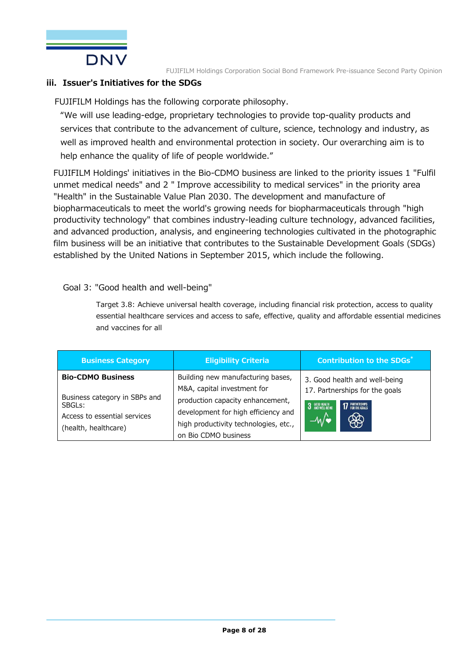

#### **iii. Issuer's Initiatives for the SDGs**

FUJIFILM Holdings has the following corporate philosophy.

"We will use leading-edge, proprietary technologies to provide top-quality products and services that contribute to the advancement of culture, science, technology and industry, as well as improved health and environmental protection in society. Our overarching aim is to help enhance the quality of life of people worldwide."

FUJIFILM Holdings' initiatives in the Bio-CDMO business are linked to the priority issues 1 "Fulfil unmet medical needs" and 2 " Improve accessibility to medical services" in the priority area "Health" in the Sustainable Value Plan 2030. The development and manufacture of biopharmaceuticals to meet the world's growing needs for biopharmaceuticals through "high productivity technology" that combines industry-leading culture technology, advanced facilities, and advanced production, analysis, and engineering technologies cultivated in the photographic film business will be an initiative that contributes to the Sustainable Development Goals (SDGs) established by the United Nations in September 2015, which include the following.

#### Goal 3: "Good health and well-being"

Target 3.8: Achieve universal health coverage, including financial risk protection, access to quality essential healthcare services and access to safe, effective, quality and affordable essential medicines and vaccines for all

| <b>Business Category</b>                                                                        | <b>Eligibility Criteria</b>                                                                                                              | <b>Contribution to the SDGs*</b>                                |
|-------------------------------------------------------------------------------------------------|------------------------------------------------------------------------------------------------------------------------------------------|-----------------------------------------------------------------|
| <b>Bio-CDMO Business</b>                                                                        | Building new manufacturing bases,<br>M&A, capital investment for                                                                         | 3. Good health and well-being<br>17. Partnerships for the goals |
| Business category in SBPs and<br>SBGLs:<br>Access to essential services<br>(health, healthcare) | production capacity enhancement,<br>development for high efficiency and<br>high productivity technologies, etc.,<br>on Bio CDMO business | 17 PARTNERSHIPS<br>3 GOOD HEALTH<br>$-\sqrt{\bullet}$<br>₩      |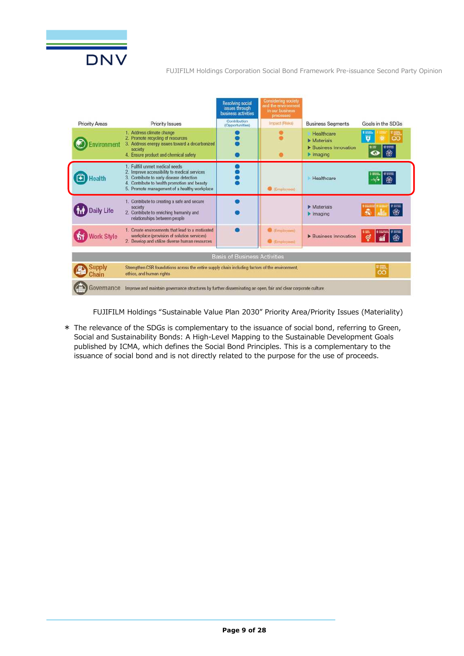

|                                                                                                                             |                                                                                                                                                                                                                 | <b>Resolving social</b><br>issues through<br>business activities | <b>Considering society</b><br>and the environment<br>in our business<br><b>Drocesses</b> |                                                                                        |                   |
|-----------------------------------------------------------------------------------------------------------------------------|-----------------------------------------------------------------------------------------------------------------------------------------------------------------------------------------------------------------|------------------------------------------------------------------|------------------------------------------------------------------------------------------|----------------------------------------------------------------------------------------|-------------------|
| <b>Priority Areas</b>                                                                                                       | Priority Issues                                                                                                                                                                                                 | Contribution<br>(Opportunities)                                  | Impact (Risks)                                                                           | <b>Business Seaments</b>                                                               | Goals in the SDGs |
| vironment                                                                                                                   | Address climate change<br>Promote recycling of resources<br>3. Address energy issues toward a decarbonized<br>society<br>4. Ensure product and chemical safety                                                  |                                                                  |                                                                                          | Healthcare<br>$\blacktriangleright$ Materials<br><b>Business Innovation</b><br>Imaging | o                 |
| ealth                                                                                                                       | 1. Fullfill unmet medical needs<br>Improve accessibility to medical services<br>Contribute to early disease detection<br>Contribute to health promotion and beauty<br>Promote management of a healthy workplace |                                                                  | <b>C</b> (Employment)                                                                    | Healthcare                                                                             | 龠                 |
| aily Life                                                                                                                   | 1. Contribute to creating a safe and secure<br>society<br>2. Contribute to enriching humanity and<br>relationships between people                                                                               |                                                                  |                                                                                          | Materials<br>Imaging                                                                   | "==<br>密          |
| <b>Vork Style</b>                                                                                                           | 1. Create environments that lead to a motivated<br>workplace (provision of solution services)<br>2. Develop and utilize diverse human resources                                                                 |                                                                  | <b>O</b> (Employees)<br><b>C</b> (Employees)                                             | <b>Business Innovation</b>                                                             | €                 |
|                                                                                                                             |                                                                                                                                                                                                                 | <b>Basis of Business Activities</b>                              |                                                                                          |                                                                                        |                   |
| vlggui<br>hain                                                                                                              | Strengthen CSR foundations across the entire supply chain including factors of the environment.<br>ethics, and human rights                                                                                     |                                                                  |                                                                                          |                                                                                        | œ                 |
| Governance<br>Improve and maintain governance structures by further disseminating an open, fair and clear corporate culture |                                                                                                                                                                                                                 |                                                                  |                                                                                          |                                                                                        |                   |

FUJIFILM Holdings "Sustainable Value Plan 2030" Priority Area/Priority Issues (Materiality)

\* The relevance of the SDGs is complementary to the issuance of social bond, referring to Green, Social and Sustainability Bonds: A High-Level Mapping to the Sustainable Development Goals published by ICMA, which defines the Social Bond Principles. This is a complementary to the issuance of social bond and is not directly related to the purpose for the use of proceeds.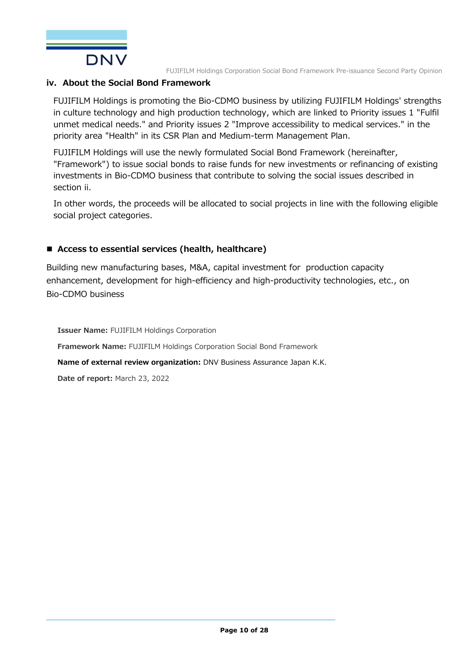

#### **iv. About the Social Bond Framework**

FUJIFILM Holdings is promoting the Bio-CDMO business by utilizing FUJIFILM Holdings' strengths in culture technology and high production technology, which are linked to Priority issues 1 "Fulfil unmet medical needs." and Priority issues 2 "Improve accessibility to medical services." in the priority area "Health" in its CSR Plan and Medium-term Management Plan.

FUJIFILM Holdings will use the newly formulated Social Bond Framework (hereinafter, "Framework") to issue social bonds to raise funds for new investments or refinancing of existing investments in Bio-CDMO business that contribute to solving the social issues described in section ii.

In other words, the proceeds will be allocated to social projects in line with the following eligible social project categories.

#### ■ Access to essential services (health, healthcare)

Building new manufacturing bases, M&A, capital investment for production capacity enhancement, development for high-efficiency and high-productivity technologies, etc., on Bio-CDMO business

**Issuer Name:** FUJIFILM Holdings Corporation **Framework Name:** FUJIFILM Holdings Corporation Social Bond Framework **Name of external review organization:** DNV Business Assurance Japan K.K. **Date of report:** March 23, 2022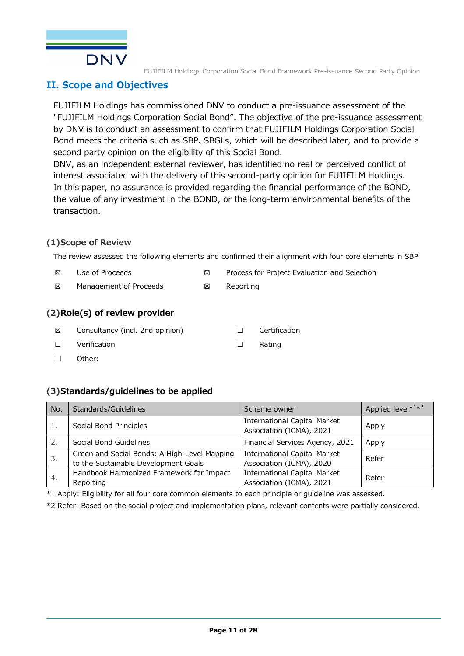

### **II. Scope and Objectives**

FUJIFILM Holdings has commissioned DNV to conduct a pre-issuance assessment of the "FUJIFILM Holdings Corporation Social Bond". The objective of the pre-issuance assessment by DNV is to conduct an assessment to confirm that FUJIFILM Holdings Corporation Social Bond meets the criteria such as SBP、SBGLs, which will be described later, and to provide a second party opinion on the eligibility of this Social Bond.

DNV, as an independent external reviewer, has identified no real or perceived conflict of interest associated with the delivery of this second-party opinion for FUJIFILM Holdings. In this paper, no assurance is provided regarding the financial performance of the BOND, the value of any investment in the BOND, or the long-term environmental benefits of the transaction.

#### **(1)Scope of Review**

The review assessed the following elements and confirmed their alignment with four core elements in SBP

- ☒ Use of Proceeds ☒ Process for Project Evaluation and Selection
- ☒ Management of Proceeds ☒ Reporting

#### **(2)Role(s) of review provider**

- ☒ Consultancy (incl. 2nd opinion) ☐ Certification
- ☐ Verification ☐ Rating
- ☐ Other:

#### **(3)Standards/guidelines to be applied**

| No. | Standards/Guidelines                                                                 | Scheme owner                                                    | Applied level* <sup>1*2</sup> |
|-----|--------------------------------------------------------------------------------------|-----------------------------------------------------------------|-------------------------------|
| 1.  | Social Bond Principles                                                               | <b>International Capital Market</b><br>Association (ICMA), 2021 | Apply                         |
| 2.  | Social Bond Guidelines                                                               | Financial Services Agency, 2021                                 | Apply                         |
| 3.  | Green and Social Bonds: A High-Level Mapping<br>to the Sustainable Development Goals | <b>International Capital Market</b><br>Association (ICMA), 2020 | Refer                         |
| 4.  | Handbook Harmonized Framework for Impact<br>Reporting                                | International Capital Market<br>Association (ICMA), 2021        | Refer                         |

\*1 Apply: Eligibility for all four core common elements to each principle or guideline was assessed.

\*2 Refer: Based on the social project and implementation plans, relevant contents were partially considered.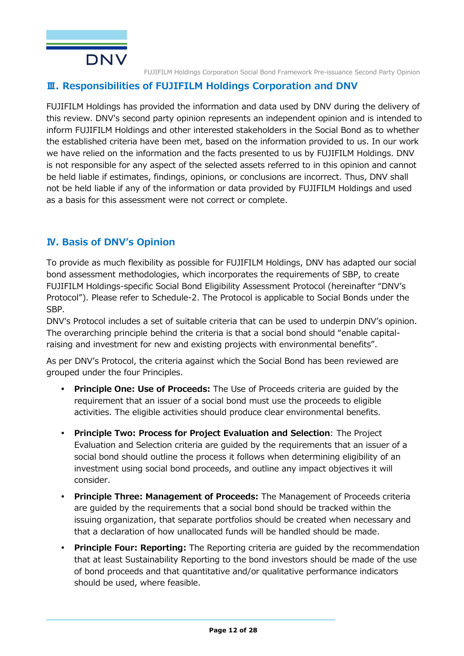

### **Ⅲ. Responsibilities of FUJIFILM Holdings Corporation and DNV**

FUJIFILM Holdings has provided the information and data used by DNV during the delivery of this review. DNV's second party opinion represents an independent opinion and is intended to inform FUJIFILM Holdings and other interested stakeholders in the Social Bond as to whether the established criteria have been met, based on the information provided to us. In our work we have relied on the information and the facts presented to us by FUJIFILM Holdings. DNV is not responsible for any aspect of the selected assets referred to in this opinion and cannot be held liable if estimates, findings, opinions, or conclusions are incorrect. Thus, DNV shall not be held liable if any of the information or data provided by FUJIFILM Holdings and used as a basis for this assessment were not correct or complete.

### **Ⅳ. Basis of DNV's Opinion**

To provide as much flexibility as possible for FUJIFILM Holdings, DNV has adapted our social bond assessment methodologies, which incorporates the requirements of SBP, to create FUJIFILM Holdings-specific Social Bond Eligibility Assessment Protocol (hereinafter "DNV's Protocol"). Please refer to Schedule-2. The Protocol is applicable to Social Bonds under the SBP.

DNV's Protocol includes a set of suitable criteria that can be used to underpin DNV's opinion. The overarching principle behind the criteria is that a social bond should "enable capitalraising and investment for new and existing projects with environmental benefits".

As per DNV's Protocol, the criteria against which the Social Bond has been reviewed are grouped under the four Principles.

- **Principle One: Use of Proceeds:** The Use of Proceeds criteria are guided by the requirement that an issuer of a social bond must use the proceeds to eligible activities. The eligible activities should produce clear environmental benefits.
- **Principle Two: Process for Project Evaluation and Selection**: The Project Evaluation and Selection criteria are guided by the requirements that an issuer of a social bond should outline the process it follows when determining eligibility of an investment using social bond proceeds, and outline any impact objectives it will consider.
- **Principle Three: Management of Proceeds:** The Management of Proceeds criteria are guided by the requirements that a social bond should be tracked within the issuing organization, that separate portfolios should be created when necessary and that a declaration of how unallocated funds will be handled should be made.
- **Principle Four: Reporting:** The Reporting criteria are guided by the recommendation that at least Sustainability Reporting to the bond investors should be made of the use of bond proceeds and that quantitative and/or qualitative performance indicators should be used, where feasible.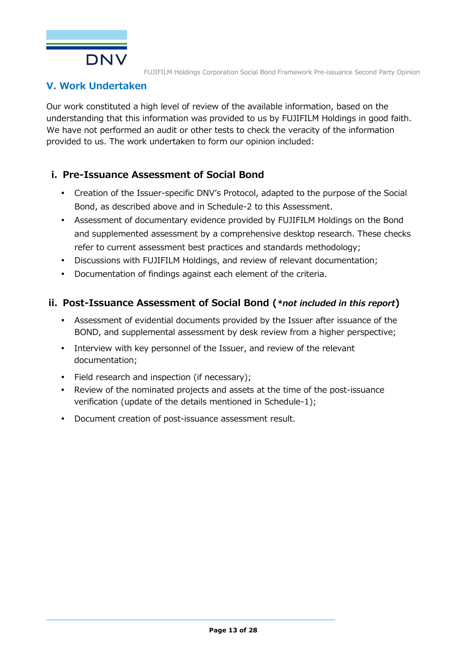

# **V. Work Undertaken**

Our work constituted a high level of review of the available information, based on the understanding that this information was provided to us by FUJIFILM Holdings in good faith. We have not performed an audit or other tests to check the veracity of the information provided to us. The work undertaken to form our opinion included:

## **i. Pre-Issuance Assessment of Social Bond**

- Creation of the Issuer-specific DNV's Protocol, adapted to the purpose of the Social Bond, as described above and in Schedule-2 to this Assessment.
- Assessment of documentary evidence provided by FUJIFILM Holdings on the Bond and supplemented assessment by a comprehensive desktop research. These checks refer to current assessment best practices and standards methodology;
- Discussions with FUJIFILM Holdings, and review of relevant documentation;
- Documentation of findings against each element of the criteria.

### **ii. Post-Issuance Assessment of Social Bond (***\*not included in this report***)**

- Assessment of evidential documents provided by the Issuer after issuance of the BOND, and supplemental assessment by desk review from a higher perspective;
- Interview with key personnel of the Issuer, and review of the relevant documentation;
- Field research and inspection (if necessary);
- Review of the nominated projects and assets at the time of the post-issuance verification (update of the details mentioned in Schedule-1);
- Document creation of post-issuance assessment result.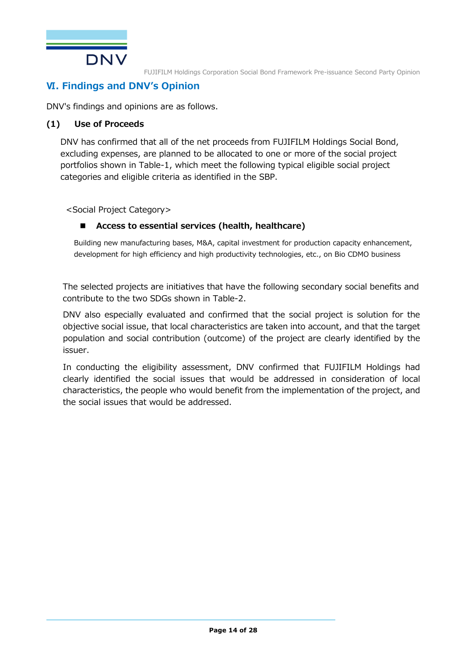

# **Ⅵ. Findings and DNV's Opinion**

DNV's findings and opinions are as follows.

#### **(1) Use of Proceeds**

DNV has confirmed that all of the net proceeds from FUJIFILM Holdings Social Bond, excluding expenses, are planned to be allocated to one or more of the social project portfolios shown in Table-1, which meet the following typical eligible social project categories and eligible criteria as identified in the SBP.

<Social Project Category>

#### **Access to essential services (health, healthcare)**

Building new manufacturing bases, M&A, capital investment for production capacity enhancement, development for high efficiency and high productivity technologies, etc., on Bio CDMO business

The selected projects are initiatives that have the following secondary social benefits and contribute to the two SDGs shown in Table-2.

DNV also especially evaluated and confirmed that the social project is solution for the objective social issue, that local characteristics are taken into account, and that the target population and social contribution (outcome) of the project are clearly identified by the issuer.

In conducting the eligibility assessment, DNV confirmed that FUJIFILM Holdings had clearly identified the social issues that would be addressed in consideration of local characteristics, the people who would benefit from the implementation of the project, and the social issues that would be addressed.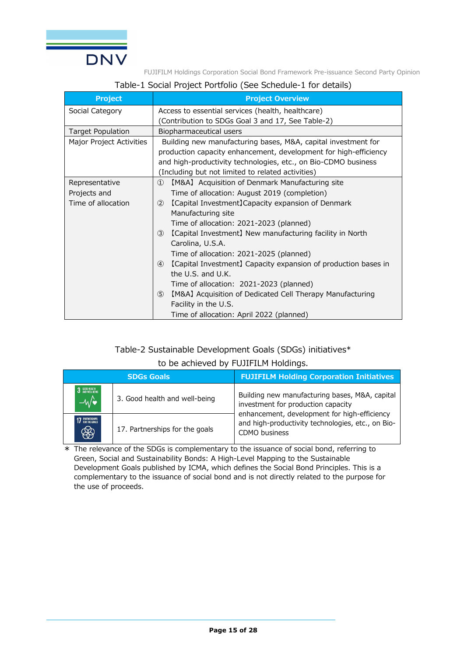

#### Table-1 Social Project Portfolio (See Schedule-1 for details)

| <b>Project</b>           | <b>Project Overview</b>                                                    |  |  |  |  |
|--------------------------|----------------------------------------------------------------------------|--|--|--|--|
| Social Category          | Access to essential services (health, healthcare)                          |  |  |  |  |
|                          | (Contribution to SDGs Goal 3 and 17, See Table-2)                          |  |  |  |  |
| <b>Target Population</b> | Biopharmaceutical users                                                    |  |  |  |  |
| Major Project Activities | Building new manufacturing bases, M&A, capital investment for              |  |  |  |  |
|                          | production capacity enhancement, development for high-efficiency           |  |  |  |  |
|                          | and high-productivity technologies, etc., on Bio-CDMO business             |  |  |  |  |
|                          | (Including but not limited to related activities)                          |  |  |  |  |
| Representative           | [M&A] Acquisition of Denmark Manufacturing site<br>$\left( 1\right)$       |  |  |  |  |
| Projects and             | Time of allocation: August 2019 (completion)                               |  |  |  |  |
| Time of allocation       | [Capital Investment] Capacity expansion of Denmark<br>(2)                  |  |  |  |  |
|                          | Manufacturing site                                                         |  |  |  |  |
|                          | Time of allocation: 2021-2023 (planned)                                    |  |  |  |  |
|                          | [Capital Investment] New manufacturing facility in North<br>(3)            |  |  |  |  |
|                          | Carolina, U.S.A.                                                           |  |  |  |  |
|                          | Time of allocation: 2021-2025 (planned)                                    |  |  |  |  |
|                          | [Capital Investment] Capacity expansion of production bases in<br>(4)      |  |  |  |  |
|                          | the U.S. and U.K.                                                          |  |  |  |  |
|                          | Time of allocation: 2021-2023 (planned)                                    |  |  |  |  |
|                          | [M&A] Acquisition of Dedicated Cell Therapy Manufacturing<br>$\circled{5}$ |  |  |  |  |
|                          | Facility in the U.S.                                                       |  |  |  |  |
|                          | Time of allocation: April 2022 (planned)                                   |  |  |  |  |

#### Table-2 Sustainable Development Goals (SDGs) initiatives\*

#### to be achieved by FUJIFILM Holdings.

|                                    | <b>SDGs Goals</b>              | <b>FUJIFILM Holding Corporation Initiatives</b>                                                                    |
|------------------------------------|--------------------------------|--------------------------------------------------------------------------------------------------------------------|
| 3 GOOD HEALTH<br>$-\sqrt{\bullet}$ | 3. Good health and well-being  | Building new manufacturing bases, M&A, capital<br>investment for production capacity                               |
| 17 PARTNERSHIPS<br>$\circledast$   | 17. Partnerships for the goals | enhancement, development for high-efficiency<br>and high-productivity technologies, etc., on Bio-<br>CDMO business |

\* The relevance of the SDGs is complementary to the issuance of social bond, referring to Green, Social and Sustainability Bonds: A High-Level Mapping to the Sustainable Development Goals published by ICMA, which defines the Social Bond Principles. This is a complementary to the issuance of social bond and is not directly related to the purpose for the use of proceeds.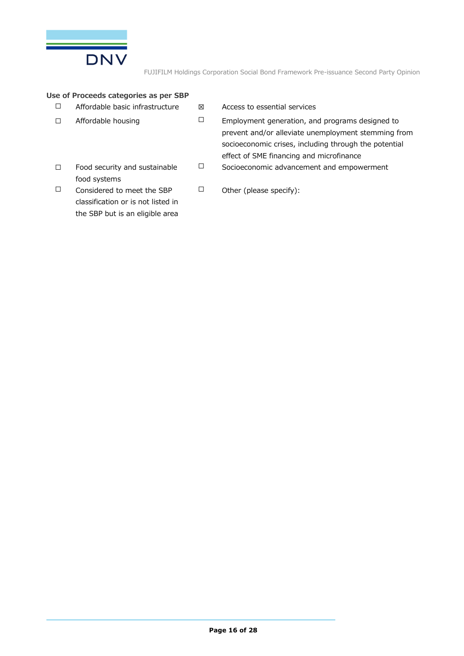

#### **Use of Proceeds categories as per SBP**

| $\Box$<br>Affordable basic infrastructure |  |
|-------------------------------------------|--|
|-------------------------------------------|--|

- ☐ Affordable housing ☐ Employment generation, and programs designed to
- $\boxtimes$  Access to essential services
	- prevent and/or alleviate unemployment stemming from socioeconomic crises, including through the potential effect of SME financing and microfinance ☐ Socioeconomic advancement and empowerment
- ☐ Food security and sustainable food systems
- ☐ Considered to meet the SBP classification or is not listed in the SBP but is an eligible area
- ☐ Other (please specify):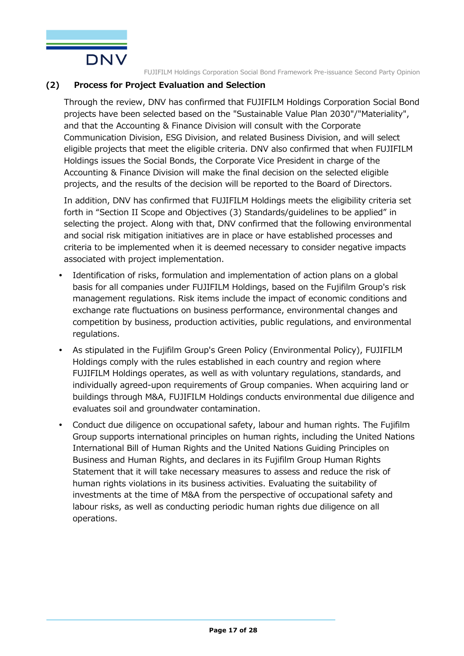

#### **(2) Process for Project Evaluation and Selection**

Through the review, DNV has confirmed that FUJIFILM Holdings Corporation Social Bond projects have been selected based on the "Sustainable Value Plan 2030"/"Materiality", and that the Accounting & Finance Division will consult with the Corporate Communication Division, ESG Division, and related Business Division, and will select eligible projects that meet the eligible criteria. DNV also confirmed that when FUJIFILM Holdings issues the Social Bonds, the Corporate Vice President in charge of the Accounting & Finance Division will make the final decision on the selected eligible projects, and the results of the decision will be reported to the Board of Directors.

In addition, DNV has confirmed that FUJIFILM Holdings meets the eligibility criteria set forth in "Section II Scope and Objectives (3) Standards/guidelines to be applied" in selecting the project. Along with that, DNV confirmed that the following environmental and social risk mitigation initiatives are in place or have established processes and criteria to be implemented when it is deemed necessary to consider negative impacts associated with project implementation.

- Identification of risks, formulation and implementation of action plans on a global basis for all companies under FUJIFILM Holdings, based on the Fujifilm Group's risk management regulations. Risk items include the impact of economic conditions and exchange rate fluctuations on business performance, environmental changes and competition by business, production activities, public regulations, and environmental regulations.
- As stipulated in the Fujifilm Group's Green Policy (Environmental Policy), FUJIFILM Holdings comply with the rules established in each country and region where FUJIFILM Holdings operates, as well as with voluntary regulations, standards, and individually agreed-upon requirements of Group companies. When acquiring land or buildings through M&A, FUJIFILM Holdings conducts environmental due diligence and evaluates soil and groundwater contamination.
- Conduct due diligence on occupational safety, labour and human rights. The Fujifilm Group supports international principles on human rights, including the United Nations International Bill of Human Rights and the United Nations Guiding Principles on Business and Human Rights, and declares in its Fujifilm Group Human Rights Statement that it will take necessary measures to assess and reduce the risk of human rights violations in its business activities. Evaluating the suitability of investments at the time of M&A from the perspective of occupational safety and labour risks, as well as conducting periodic human rights due diligence on all operations.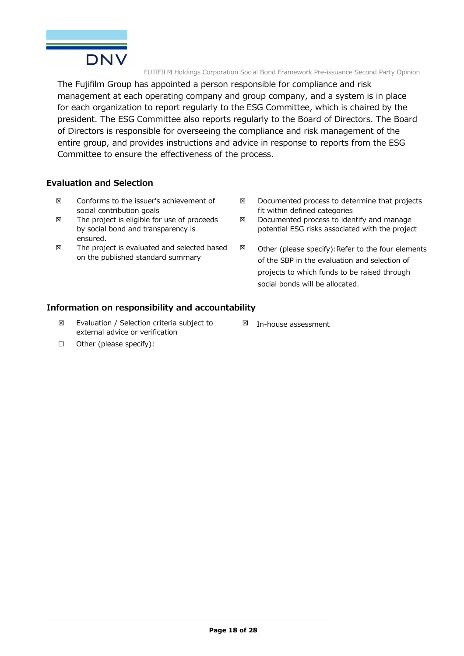

The Fujifilm Group has appointed a person responsible for compliance and risk management at each operating company and group company, and a system is in place for each organization to report regularly to the ESG Committee, which is chaired by the president. The ESG Committee also reports regularly to the Board of Directors. The Board of Directors is responsible for overseeing the compliance and risk management of the entire group, and provides instructions and advice in response to reports from the ESG Committee to ensure the effectiveness of the process.

#### **Evaluation and Selection**

- ☒ Conforms to the issuer's achievement of social contribution goals
- $\boxtimes$  The project is eligible for use of proceeds by social bond and transparency is ensured.
- ☒ The project is evaluated and selected based on the published standard summary
- ☒ Documented process to determine that projects fit within defined categories
- $\boxtimes$  Documented process to identify and manage potential ESG risks associated with the project
- $\boxtimes$  Other (please specify): Refer to the four elements of the SBP in the evaluation and selection of projects to which funds to be raised through social bonds will be allocated.

#### **Information on responsibility and accountability**

- ☒ Evaluation / Selection criteria subject to external advice or verification
- ☒ In-house assessment

☐ Other (please specify):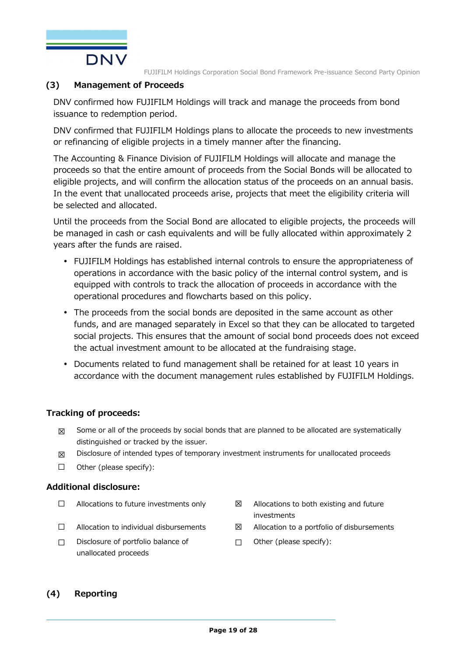

#### **(3) Management of Proceeds**

DNV confirmed how FUJIFILM Holdings will track and manage the proceeds from bond issuance to redemption period.

DNV confirmed that FUJIFILM Holdings plans to allocate the proceeds to new investments or refinancing of eligible projects in a timely manner after the financing.

The Accounting & Finance Division of FUJIFILM Holdings will allocate and manage the proceeds so that the entire amount of proceeds from the Social Bonds will be allocated to eligible projects, and will confirm the allocation status of the proceeds on an annual basis. In the event that unallocated proceeds arise, projects that meet the eligibility criteria will be selected and allocated.

Until the proceeds from the Social Bond are allocated to eligible projects, the proceeds will be managed in cash or cash equivalents and will be fully allocated within approximately 2 years after the funds are raised.

- FUJIFILM Holdings has established internal controls to ensure the appropriateness of operations in accordance with the basic policy of the internal control system, and is equipped with controls to track the allocation of proceeds in accordance with the operational procedures and flowcharts based on this policy.
- The proceeds from the social bonds are deposited in the same account as other funds, and are managed separately in Excel so that they can be allocated to targeted social projects. This ensures that the amount of social bond proceeds does not exceed the actual investment amount to be allocated at the fundraising stage.
- Documents related to fund management shall be retained for at least 10 years in accordance with the document management rules established by FUJIFILM Holdings.

#### **Tracking of proceeds:**

- $\boxtimes$  Some or all of the proceeds by social bonds that are planned to be allocated are systematically distinguished or tracked by the issuer.
- $\boxtimes$  Disclosure of intended types of temporary investment instruments for unallocated proceeds
- $\Box$  Other (please specify):

#### **Additional disclosure:**

- -
- ☐ Disclosure of portfolio balance of unallocated proceeds
- □ Allocations to future investments only  $□$  Allocations to both existing and future investments
- $\Box$  Allocation to individual disbursements  $\boxtimes$  Allocation to a portfolio of disbursements
	- $\Box$  Other (please specify):

#### **(4) Reporting**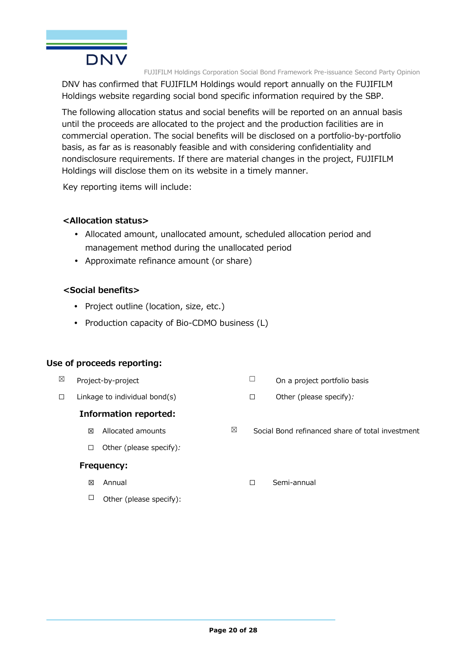

DNV has confirmed that FUJIFILM Holdings would report annually on the FUJIFILM Holdings website regarding social bond specific information required by the SBP.

The following allocation status and social benefits will be reported on an annual basis until the proceeds are allocated to the project and the production facilities are in commercial operation. The social benefits will be disclosed on a portfolio-by-portfolio basis, as far as is reasonably feasible and with considering confidentiality and nondisclosure requirements. If there are material changes in the project, FUJIFILM Holdings will disclose them on its website in a timely manner.

Key reporting items will include:

#### **<Allocation status>**

- Allocated amount, unallocated amount, scheduled allocation period and management method during the unallocated period
- Approximate refinance amount (or share)

#### **<Social benefits>**

- Project outline (location, size, etc.)
- Production capacity of Bio-CDMO business (L)

#### **Use of proceeds reporting:**

| ⊠ |   | Project-by-project               | Ξ | On a project portfolio basis                     |
|---|---|----------------------------------|---|--------------------------------------------------|
| □ |   | Linkage to individual bond $(s)$ | □ | Other (please specify):                          |
|   |   | <b>Information reported:</b>     |   |                                                  |
|   | ⊠ | ⊠<br>Allocated amounts           |   | Social Bond refinanced share of total investment |
|   | □ | Other (please specify):          |   |                                                  |
|   |   | <b>Frequency:</b>                |   |                                                  |
|   | ⊠ | Annual                           | □ | Semi-annual                                      |

 $\Box$  Other (please specify):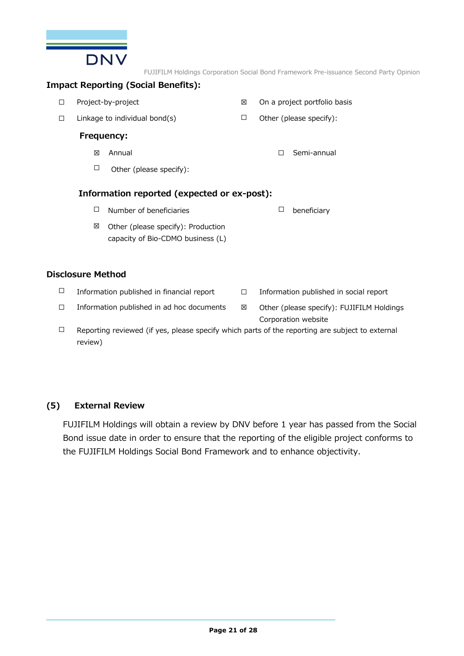

#### **Impact Reporting (Social Benefits):**

| □ |                          | Project-by-project                                                      | X      | On a project portfolio basis                                     |
|---|--------------------------|-------------------------------------------------------------------------|--------|------------------------------------------------------------------|
| □ |                          | Linkage to individual bond(s)                                           | $\Box$ | Other (please specify):                                          |
|   |                          | Frequency:                                                              |        |                                                                  |
|   | 区                        | Annual                                                                  |        | Semi-annual<br>П                                                 |
|   | $\Box$                   | Other (please specify):                                                 |        |                                                                  |
|   |                          | Information reported (expected or ex-post):                             |        |                                                                  |
|   | $\Box$                   | Number of beneficiaries                                                 |        | □<br>beneficiary                                                 |
|   | ⊠                        | Other (please specify): Production<br>capacity of Bio-CDMO business (L) |        |                                                                  |
|   | <b>Disclosure Method</b> |                                                                         |        |                                                                  |
| □ |                          | Information published in financial report                               | □      | Information published in social report                           |
| □ |                          | Information published in ad hoc documents                               | X      | Other (please specify): FUJIFILM Holdings<br>Corporation website |
|   |                          |                                                                         |        |                                                                  |

 $\Box$  Reporting reviewed (if yes, please specify which parts of the reporting are subject to external review)

#### **(5) External Review**

FUJIFILM Holdings will obtain a review by DNV before 1 year has passed from the Social Bond issue date in order to ensure that the reporting of the eligible project conforms to the FUJIFILM Holdings Social Bond Framework and to enhance objectivity.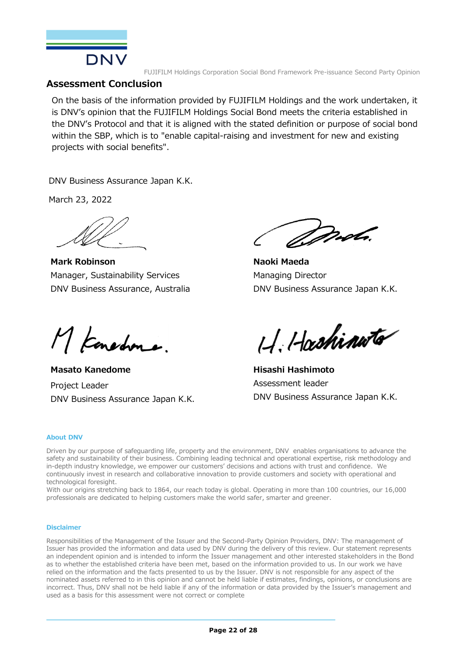

#### **Assessment Conclusion**

On the basis of the information provided by FUJIFILM Holdings and the work undertaken, it is DNV's opinion that the FUJIFILM Holdings Social Bond meets the criteria established in the DNV's Protocol and that it is aligned with the stated definition or purpose of social bond within the SBP, which is to "enable capital-raising and investment for new and existing projects with social benefits".

DNV Business Assurance Japan K.K.

March 23, 2022

**Mark Robinson**  Manager, Sustainability Services DNV Business Assurance, Australia

*Drob*.

**Naoki Maeda**  Managing Director DNV Business Assurance Japan K.K.

M Konedone.

**Masato Kanedome** Project Leader DNV Business Assurance Japan K.K.

H. Hashinuta

**Hisashi Hashimoto**  Assessment leader DNV Business Assurance Japan K.K.

#### **About DNV**

Driven by our purpose of safeguarding life, property and the environment, DNV enables organisations to advance the safety and sustainability of their business. Combining leading technical and operational expertise, risk methodology and in-depth industry knowledge, we empower our customers' decisions and actions with trust and confidence. We continuously invest in research and collaborative innovation to provide customers and society with operational and technological foresight.

With our origins stretching back to 1864, our reach today is global. Operating in more than 100 countries, our 16,000 professionals are dedicated to helping customers make the world safer, smarter and greener.

#### **Disclaimer**

Responsibilities of the Management of the Issuer and the Second-Party Opinion Providers, DNV: The management of Issuer has provided the information and data used by DNV during the delivery of this review. Our statement represents an independent opinion and is intended to inform the Issuer management and other interested stakeholders in the Bond as to whether the established criteria have been met, based on the information provided to us. In our work we have relied on the information and the facts presented to us by the Issuer. DNV is not responsible for any aspect of the nominated assets referred to in this opinion and cannot be held liable if estimates, findings, opinions, or conclusions are incorrect. Thus, DNV shall not be held liable if any of the information or data provided by the Issuer's management and used as a basis for this assessment were not correct or complete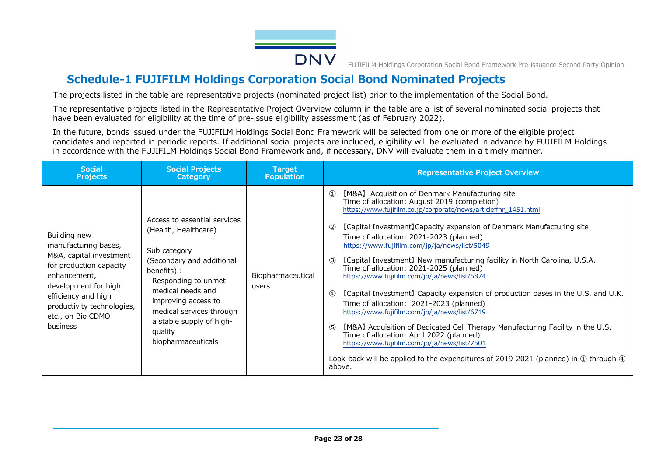

# **Schedule-1 FUJIFILM Holdings Corporation Social Bond Nominated Projects**

The projects listed in the table are representative projects (nominated project list) prior to the implementation of the Social Bond.

The representative projects listed in the Representative Project Overview column in the table are a list of several nominated social projects that have been evaluated for eligibility at the time of pre-issue eligibility assessment (as of February 2022).

In the future, bonds issued under the FUJIFILM Holdings Social Bond Framework will be selected from one or more of the eligible project candidates and reported in periodic reports. If additional social projects are included, eligibility will be evaluated in advance by FUJIFILM Holdings in accordance with the FUJIFILM Holdings Social Bond Framework and, if necessary, DNV will evaluate them in a timely manner.

| <b>Social</b>                                                                                                                                                                                                            | <b>Social Projects</b>                                                                                                                                                                                                                                                       | <b>Target</b>              | <b>Representative Project Overview</b>                                                                                                                                                                                                                                                                                                                                                                                                                                                                                                                                                                                                                                                                                                                                                                                                                                                                                                                                                                                                                   |
|--------------------------------------------------------------------------------------------------------------------------------------------------------------------------------------------------------------------------|------------------------------------------------------------------------------------------------------------------------------------------------------------------------------------------------------------------------------------------------------------------------------|----------------------------|----------------------------------------------------------------------------------------------------------------------------------------------------------------------------------------------------------------------------------------------------------------------------------------------------------------------------------------------------------------------------------------------------------------------------------------------------------------------------------------------------------------------------------------------------------------------------------------------------------------------------------------------------------------------------------------------------------------------------------------------------------------------------------------------------------------------------------------------------------------------------------------------------------------------------------------------------------------------------------------------------------------------------------------------------------|
| <b>Projects</b>                                                                                                                                                                                                          | <b>Category</b>                                                                                                                                                                                                                                                              | <b>Population</b>          |                                                                                                                                                                                                                                                                                                                                                                                                                                                                                                                                                                                                                                                                                                                                                                                                                                                                                                                                                                                                                                                          |
| Building new<br>manufacturing bases,<br>M&A, capital investment<br>for production capacity<br>enhancement,<br>development for high<br>efficiency and high<br>productivity technologies,<br>etc., on Bio CDMO<br>business | Access to essential services<br>(Health, Healthcare)<br>Sub category<br>(Secondary and additional<br>benefits) :<br>Responding to unmet<br>medical needs and<br>improving access to<br>medical services through<br>a stable supply of high-<br>quality<br>biopharmaceuticals | Biopharmaceutical<br>users | [M&A] Acquisition of Denmark Manufacturing site<br>$\Omega$<br>Time of allocation: August 2019 (completion)<br>https://www.fujifilm.co.jp/corporate/news/articleffnr_1451.html<br>[Capital Investment] Capacity expansion of Denmark Manufacturing site<br>(2)<br>Time of allocation: 2021-2023 (planned)<br>https://www.fujifilm.com/jp/ja/news/list/5049<br>[Capital Investment] New manufacturing facility in North Carolina, U.S.A.<br>(3)<br>Time of allocation: 2021-2025 (planned)<br>https://www.fujifilm.com/jp/ja/news/list/5874<br>[Capital Investment] Capacity expansion of production bases in the U.S. and U.K.<br>$\left( 4\right)$<br>Time of allocation: 2021-2023 (planned)<br>https://www.fujifilm.com/jp/ja/news/list/6719<br>[M&A] Acquisition of Dedicated Cell Therapy Manufacturing Facility in the U.S.<br>$\circ$<br>Time of allocation: April 2022 (planned)<br>https://www.fujifilm.com/jp/ja/news/list/7501<br>Look-back will be applied to the expenditures of 2019-2021 (planned) in $\oplus$ through $\oplus$<br>above. |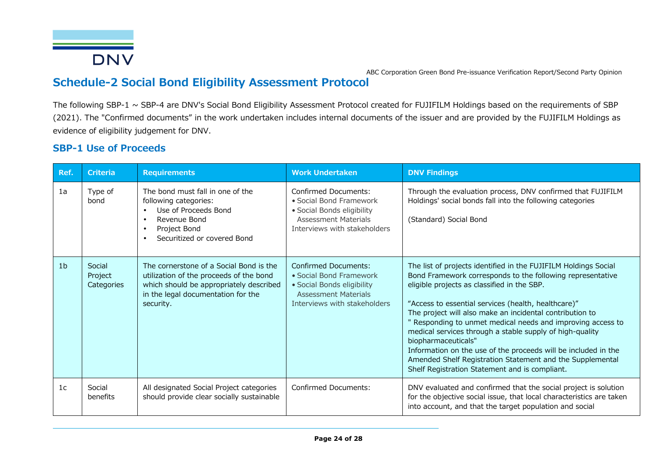

# **Schedule-2 Social Bond Eligibility Assessment Protocol**

The following SBP-1 ~ SBP-4 are DNV's Social Bond Eligibility Assessment Protocol created for FUJIFILM Holdings based on the requirements of SBP (2021). The "Confirmed documents" in the work undertaken includes internal documents of the issuer and are provided by the FUJIFILM Holdings as evidence of eligibility judgement for DNV.

### **SBP-1 Use of Proceeds**

| Ref.           | <b>Criteria</b>                 | <b>Requirements</b>                                                                                                                                                                                  | <b>Work Undertaken</b>                                                                                                                              | <b>DNV Findings</b>                                                                                                                                                                                                                                                                                                                                                                                                                                                                                                                                                                                                                |
|----------------|---------------------------------|------------------------------------------------------------------------------------------------------------------------------------------------------------------------------------------------------|-----------------------------------------------------------------------------------------------------------------------------------------------------|------------------------------------------------------------------------------------------------------------------------------------------------------------------------------------------------------------------------------------------------------------------------------------------------------------------------------------------------------------------------------------------------------------------------------------------------------------------------------------------------------------------------------------------------------------------------------------------------------------------------------------|
| 1a             | Type of<br>bond                 | The bond must fall in one of the<br>following categories:<br>Use of Proceeds Bond<br>$\bullet$<br>Revenue Bond<br>$\bullet$<br>Project Bond<br>$\bullet$<br>Securitized or covered Bond<br>$\bullet$ | Confirmed Documents:<br>• Social Bond Framework<br>• Social Bonds eligibility<br><b>Assessment Materials</b><br>Interviews with stakeholders        | Through the evaluation process, DNV confirmed that FUJIFILM<br>Holdings' social bonds fall into the following categories<br>(Standard) Social Bond                                                                                                                                                                                                                                                                                                                                                                                                                                                                                 |
| 1 <sub>b</sub> | Social<br>Project<br>Categories | The cornerstone of a Social Bond is the<br>utilization of the proceeds of the bond<br>which should be appropriately described<br>in the legal documentation for the<br>security.                     | <b>Confirmed Documents:</b><br>• Social Bond Framework<br>• Social Bonds eligibility<br><b>Assessment Materials</b><br>Interviews with stakeholders | The list of projects identified in the FUJIFILM Holdings Social<br>Bond Framework corresponds to the following representative<br>eligible projects as classified in the SBP.<br>"Access to essential services (health, healthcare)"<br>The project will also make an incidental contribution to<br>" Responding to unmet medical needs and improving access to<br>medical services through a stable supply of high-quality<br>biopharmaceuticals"<br>Information on the use of the proceeds will be included in the<br>Amended Shelf Registration Statement and the Supplemental<br>Shelf Registration Statement and is compliant. |
| 1 <sup>c</sup> | Social<br>benefits              | All designated Social Project categories<br>should provide clear socially sustainable                                                                                                                | <b>Confirmed Documents:</b>                                                                                                                         | DNV evaluated and confirmed that the social project is solution<br>for the objective social issue, that local characteristics are taken<br>into account, and that the target population and social                                                                                                                                                                                                                                                                                                                                                                                                                                 |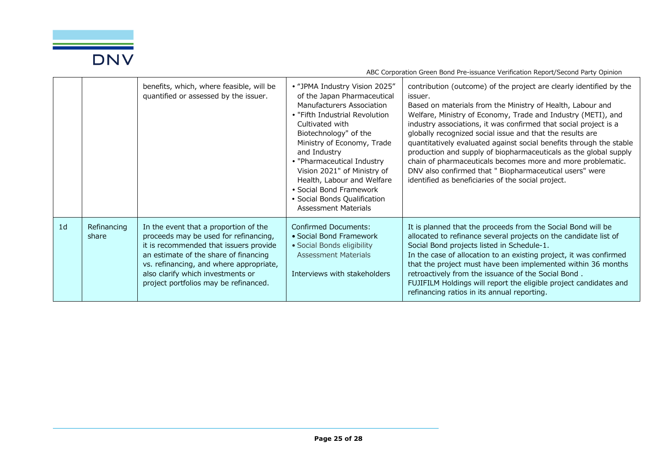

|                |                      | benefits, which, where feasible, will be<br>quantified or assessed by the issuer.                                                                                                                                                                                                          | • "JPMA Industry Vision 2025"<br>of the Japan Pharmaceutical<br>Manufacturers Association<br>• "Fifth Industrial Revolution<br>Cultivated with<br>Biotechnology" of the<br>Ministry of Economy, Trade<br>and Industry<br>• "Pharmaceutical Industry<br>Vision 2021" of Ministry of<br>Health, Labour and Welfare<br>• Social Bond Framework<br>• Social Bonds Qualification<br><b>Assessment Materials</b> | contribution (outcome) of the project are clearly identified by the<br>issuer.<br>Based on materials from the Ministry of Health, Labour and<br>Welfare, Ministry of Economy, Trade and Industry (METI), and<br>industry associations, it was confirmed that social project is a<br>globally recognized social issue and that the results are<br>quantitatively evaluated against social benefits through the stable<br>production and supply of biopharmaceuticals as the global supply<br>chain of pharmaceuticals becomes more and more problematic.<br>DNV also confirmed that " Biopharmaceutical users" were<br>identified as beneficiaries of the social project. |
|----------------|----------------------|--------------------------------------------------------------------------------------------------------------------------------------------------------------------------------------------------------------------------------------------------------------------------------------------|------------------------------------------------------------------------------------------------------------------------------------------------------------------------------------------------------------------------------------------------------------------------------------------------------------------------------------------------------------------------------------------------------------|--------------------------------------------------------------------------------------------------------------------------------------------------------------------------------------------------------------------------------------------------------------------------------------------------------------------------------------------------------------------------------------------------------------------------------------------------------------------------------------------------------------------------------------------------------------------------------------------------------------------------------------------------------------------------|
| 1 <sub>d</sub> | Refinancing<br>share | In the event that a proportion of the<br>proceeds may be used for refinancing,<br>it is recommended that issuers provide<br>an estimate of the share of financing<br>vs. refinancing, and where appropriate,<br>also clarify which investments or<br>project portfolios may be refinanced. | <b>Confirmed Documents:</b><br>• Social Bond Framework<br>• Social Bonds eligibility<br><b>Assessment Materials</b><br>Interviews with stakeholders                                                                                                                                                                                                                                                        | It is planned that the proceeds from the Social Bond will be<br>allocated to refinance several projects on the candidate list of<br>Social Bond projects listed in Schedule-1.<br>In the case of allocation to an existing project, it was confirmed<br>that the project must have been implemented within 36 months<br>retroactively from the issuance of the Social Bond.<br>FUJIFILM Holdings will report the eligible project candidates and<br>refinancing ratios in its annual reporting.                                                                                                                                                                          |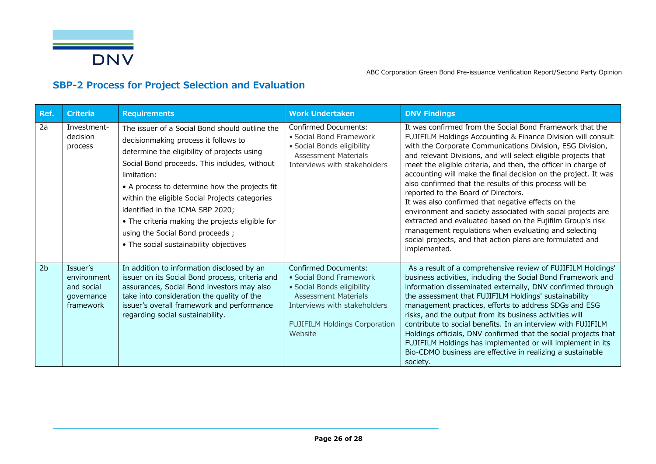

# **SBP-2 Process for Project Selection and Evaluation**

| Ref.           | Criteria                                                         | <b>Requirements</b>                                                                                                                                                                                                                                                                                                                                                                                                                                                         | <b>Work Undertaken</b>                                                                                                                                                                                 | <b>DNV Findings</b>                                                                                                                                                                                                                                                                                                                                                                                                                                                                                                                                                                                                                                                                                                                                                                                                   |
|----------------|------------------------------------------------------------------|-----------------------------------------------------------------------------------------------------------------------------------------------------------------------------------------------------------------------------------------------------------------------------------------------------------------------------------------------------------------------------------------------------------------------------------------------------------------------------|--------------------------------------------------------------------------------------------------------------------------------------------------------------------------------------------------------|-----------------------------------------------------------------------------------------------------------------------------------------------------------------------------------------------------------------------------------------------------------------------------------------------------------------------------------------------------------------------------------------------------------------------------------------------------------------------------------------------------------------------------------------------------------------------------------------------------------------------------------------------------------------------------------------------------------------------------------------------------------------------------------------------------------------------|
| 2a             | Investment-<br>decision<br>process                               | The issuer of a Social Bond should outline the<br>decisionmaking process it follows to<br>determine the eligibility of projects using<br>Social Bond proceeds. This includes, without<br>limitation:<br>• A process to determine how the projects fit<br>within the eligible Social Projects categories<br>identified in the ICMA SBP 2020;<br>• The criteria making the projects eligible for<br>using the Social Bond proceeds;<br>• The social sustainability objectives | Confirmed Documents:<br>• Social Bond Framework<br>· Social Bonds eligibility<br><b>Assessment Materials</b><br>Interviews with stakeholders                                                           | It was confirmed from the Social Bond Framework that the<br>FUJIFILM Holdings Accounting & Finance Division will consult<br>with the Corporate Communications Division, ESG Division,<br>and relevant Divisions, and will select eligible projects that<br>meet the eligible criteria, and then, the officer in charge of<br>accounting will make the final decision on the project. It was<br>also confirmed that the results of this process will be<br>reported to the Board of Directors.<br>It was also confirmed that negative effects on the<br>environment and society associated with social projects are<br>extracted and evaluated based on the Fujifilm Group's risk<br>management regulations when evaluating and selecting<br>social projects, and that action plans are formulated and<br>implemented. |
| 2 <sub>b</sub> | Issuer's<br>environment<br>and social<br>governance<br>framework | In addition to information disclosed by an<br>issuer on its Social Bond process, criteria and<br>assurances, Social Bond investors may also<br>take into consideration the quality of the<br>issuer's overall framework and performance<br>regarding social sustainability.                                                                                                                                                                                                 | <b>Confirmed Documents:</b><br>· Social Bond Framework<br>• Social Bonds eligibility<br><b>Assessment Materials</b><br>Interviews with stakeholders<br><b>FUJIFILM Holdings Corporation</b><br>Website | As a result of a comprehensive review of FUJIFILM Holdings'<br>business activities, including the Social Bond Framework and<br>information disseminated externally, DNV confirmed through<br>the assessment that FUJIFILM Holdings' sustainability<br>management practices, efforts to address SDGs and ESG<br>risks, and the output from its business activities will<br>contribute to social benefits. In an interview with FUJIFILM<br>Holdings officials, DNV confirmed that the social projects that<br>FUJIFILM Holdings has implemented or will implement in its<br>Bio-CDMO business are effective in realizing a sustainable<br>society.                                                                                                                                                                     |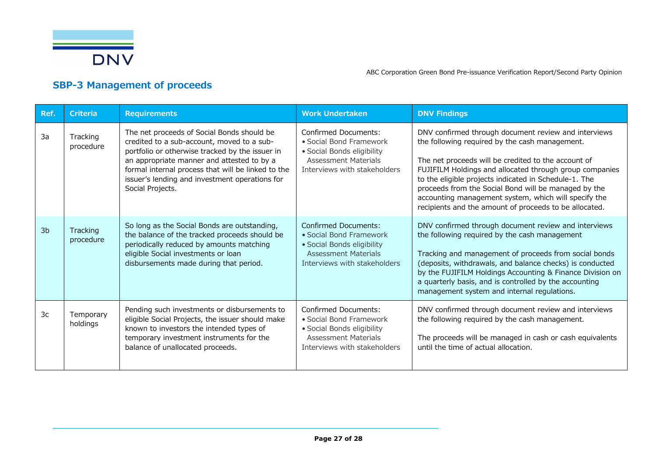

# **SBP-3 Management of proceeds**

| Ref.           | <b>Criteria</b>       | <b>Requirements</b>                                                                                                                                                                                                                                                                                                   | <b>Work Undertaken</b>                                                                                                                              | <b>DNV Findings</b>                                                                                                                                                                                                                                                                                                                                                                                                                                         |
|----------------|-----------------------|-----------------------------------------------------------------------------------------------------------------------------------------------------------------------------------------------------------------------------------------------------------------------------------------------------------------------|-----------------------------------------------------------------------------------------------------------------------------------------------------|-------------------------------------------------------------------------------------------------------------------------------------------------------------------------------------------------------------------------------------------------------------------------------------------------------------------------------------------------------------------------------------------------------------------------------------------------------------|
| 3a             | Tracking<br>procedure | The net proceeds of Social Bonds should be<br>credited to a sub-account, moved to a sub-<br>portfolio or otherwise tracked by the issuer in<br>an appropriate manner and attested to by a<br>formal internal process that will be linked to the<br>issuer's lending and investment operations for<br>Social Projects. | <b>Confirmed Documents:</b><br>• Social Bond Framework<br>· Social Bonds eligibility<br><b>Assessment Materials</b><br>Interviews with stakeholders | DNV confirmed through document review and interviews<br>the following required by the cash management.<br>The net proceeds will be credited to the account of<br>FUJIFILM Holdings and allocated through group companies<br>to the eligible projects indicated in Schedule-1. The<br>proceeds from the Social Bond will be managed by the<br>accounting management system, which will specify the<br>recipients and the amount of proceeds to be allocated. |
| 3 <sub>b</sub> | Tracking<br>procedure | So long as the Social Bonds are outstanding,<br>the balance of the tracked proceeds should be<br>periodically reduced by amounts matching<br>eligible Social investments or loan<br>disbursements made during that period.                                                                                            | <b>Confirmed Documents:</b><br>• Social Bond Framework<br>· Social Bonds eligibility<br><b>Assessment Materials</b><br>Interviews with stakeholders | DNV confirmed through document review and interviews<br>the following required by the cash management<br>Tracking and management of proceeds from social bonds<br>(deposits, withdrawals, and balance checks) is conducted<br>by the FUJIFILM Holdings Accounting & Finance Division on<br>a quarterly basis, and is controlled by the accounting<br>management system and internal regulations.                                                            |
| 3c             | Temporary<br>holdings | Pending such investments or disbursements to<br>eligible Social Projects, the issuer should make<br>known to investors the intended types of<br>temporary investment instruments for the<br>balance of unallocated proceeds.                                                                                          | <b>Confirmed Documents:</b><br>• Social Bond Framework<br>• Social Bonds eligibility<br><b>Assessment Materials</b><br>Interviews with stakeholders | DNV confirmed through document review and interviews<br>the following required by the cash management.<br>The proceeds will be managed in cash or cash equivalents<br>until the time of actual allocation.                                                                                                                                                                                                                                                  |